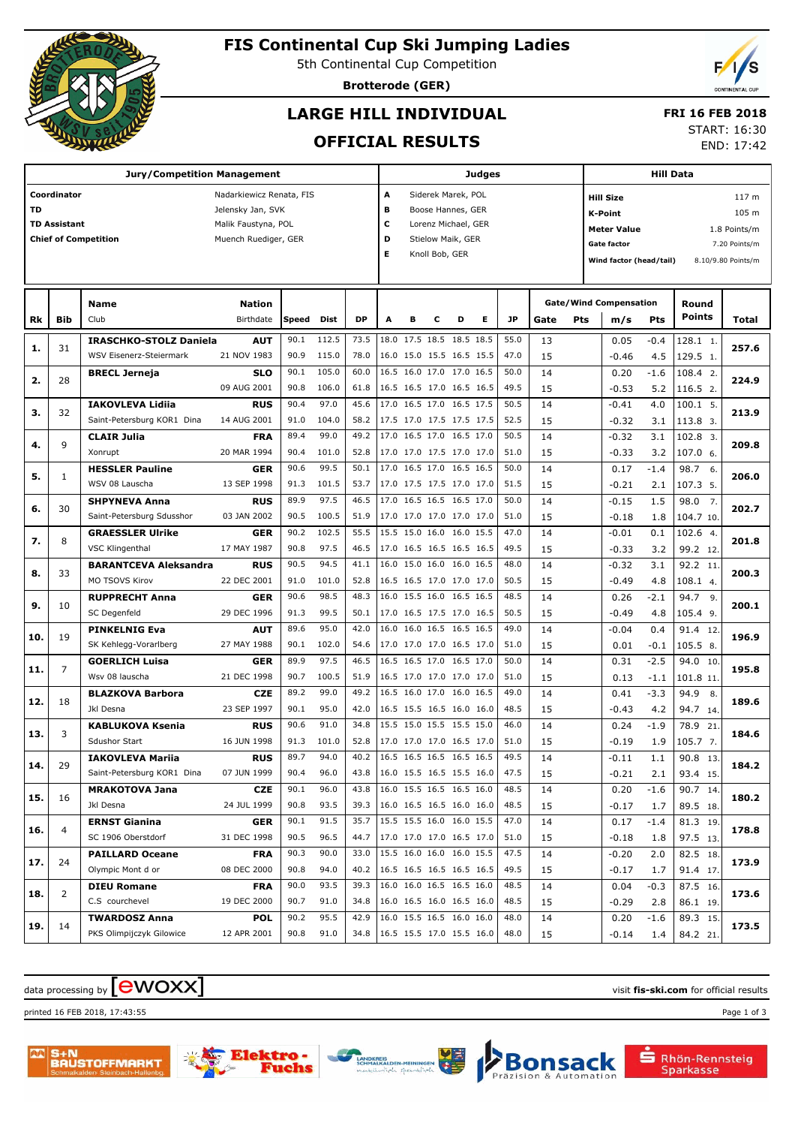

# **FIS Continental Cup Ski Jumping Ladies**

5th Continental Cup Competition

**Brotterode (GER)**

## **LARGE HILL INDIVIDUAL**

### **FRI 16 FEB 2018**

### **OFFICIAL RESULTS**

START: 16:30

END: 17:42

|     |                                                     | <b>Jury/Competition Management</b>         |                           |              |               |              | Judges |                        |                |                                                      |                          | <b>Hill Data</b> |          |                                    |                               |               |                          |                    |  |
|-----|-----------------------------------------------------|--------------------------------------------|---------------------------|--------------|---------------|--------------|--------|------------------------|----------------|------------------------------------------------------|--------------------------|------------------|----------|------------------------------------|-------------------------------|---------------|--------------------------|--------------------|--|
|     | Coordinator                                         |                                            | Nadarkiewicz Renata, FIS  |              |               |              | А      |                        |                | Siderek Marek, POL                                   |                          |                  |          |                                    | <b>Hill Size</b>              |               |                          | 117 m              |  |
| TD  |                                                     |                                            | Jelensky Jan, SVK         |              |               |              | в      |                        |                | Boose Hannes, GER                                    |                          |                  |          |                                    | <b>K-Point</b>                |               |                          | 105 m              |  |
|     | <b>TD Assistant</b>                                 |                                            | Malik Faustyna, POL       |              |               |              | с      | Lorenz Michael, GER    |                |                                                      |                          |                  |          | <b>Meter Value</b><br>1.8 Points/m |                               |               |                          |                    |  |
|     | <b>Chief of Competition</b><br>Muench Ruediger, GER |                                            |                           |              |               |              |        | D<br>Stielow Maik, GER |                |                                                      |                          |                  |          |                                    | Gate factor                   |               |                          | 7.20 Points/m      |  |
|     |                                                     |                                            |                           |              |               |              | Е      |                        | Knoll Bob, GER |                                                      |                          |                  |          |                                    | Wind factor (head/tail)       |               |                          | 8.10/9.80 Points/m |  |
|     |                                                     |                                            |                           |              |               |              |        |                        |                |                                                      |                          |                  |          |                                    |                               |               |                          |                    |  |
|     |                                                     |                                            |                           |              |               |              |        |                        |                |                                                      |                          |                  |          |                                    |                               |               |                          |                    |  |
|     |                                                     | <b>Name</b>                                | <b>Nation</b>             |              |               |              |        |                        |                |                                                      |                          |                  |          |                                    | <b>Gate/Wind Compensation</b> |               | Round                    |                    |  |
| Rk  | <b>Bib</b>                                          | Club                                       | Birthdate                 | Speed        | Dist          | <b>DP</b>    | A      | в                      | с              | D                                                    | Е                        | JP               | Gate     | Pts                                | m/s                           | <b>Pts</b>    | <b>Points</b>            | Total              |  |
| 1.  | 31                                                  | <b>IRASCHKO-STOLZ Daniela</b>              | <b>AUT</b>                | 90.1         | 112.5         | 73.5         |        | 18.0 17.5 18.5         |                | 18.5 18.5                                            |                          | 55.0             | 13       |                                    | 0.05                          | $-0.4$        | 128.1 1.                 | 257.6              |  |
|     |                                                     | WSV Eisenerz-Steiermark                    | 21 NOV 1983               | 90.9         | 115.0         | 78.0         |        |                        |                | 16.0 15.0 15.5 16.5 15.5                             |                          | 47.0             | 15       |                                    | $-0.46$                       | 4.5           | 129.5 1.                 |                    |  |
| 2.  | 28                                                  | <b>BRECL Jerneja</b>                       | <b>SLO</b>                | 90.1         | 105.0         | 60.0         |        |                        |                | 16.5 16.0 17.0 17.0 16.5                             |                          | 50.0             | 14       |                                    | 0.20                          | $-1.6$        | 108.4 2.                 | 224.9              |  |
|     |                                                     |                                            | 09 AUG 2001               | 90.8         | 106.0         | 61.8         |        |                        |                | 16.5 16.5 17.0 16.5 16.5                             |                          | 49.5             | 15       |                                    | $-0.53$                       | 5.2           | 116.5 2.                 |                    |  |
| з.  | 32                                                  | <b>IAKOVLEVA Lidija</b>                    | <b>RUS</b>                | 90.4         | 97.0          | 45.6         |        |                        |                | 17.0 16.5 17.0 16.5 17.5                             |                          | 50.5             | 14       |                                    | $-0.41$                       | 4.0           | $100.1$ 5.               | 213.9              |  |
|     |                                                     | Saint-Petersburg KOR1 Dina                 | 14 AUG 2001               | 91.0         | 104.0         | 58.2         |        |                        |                | 17.5 17.0 17.5 17.5 17.5                             |                          | 52.5             | 15       |                                    | $-0.32$                       | 3.1           | 113.8 3.                 |                    |  |
| 4.  | 9                                                   | <b>CLAIR Julia</b>                         | <b>FRA</b>                | 89.4         | 99.0          | 49.2         |        |                        |                | 17.0 16.5 17.0 16.5 17.0                             |                          | 50.5             | 14       |                                    | $-0.32$                       | 3.1           | 102.8 3.                 | 209.8              |  |
|     |                                                     | Xonrupt                                    | 20 MAR 1994               | 90.4<br>90.6 | 101.0<br>99.5 | 52.8<br>50.1 |        |                        |                | 17.0 17.0 17.5 17.0 17.0<br>17.0 16.5 17.0 16.5 16.5 |                          | 51.0<br>50.0     | 15<br>14 |                                    | $-0.33$                       | 3.2<br>$-1.4$ | 107.0 6.<br>6.           |                    |  |
| 5.  | 1                                                   | <b>HESSLER Pauline</b><br>WSV 08 Lauscha   | <b>GER</b><br>13 SEP 1998 | 91.3         | 101.5         | 53.7         |        |                        |                | 17.0 17.5 17.5 17.0 17.0                             |                          | 51.5             | 15       |                                    | 0.17<br>$-0.21$               | 2.1           | 98.7<br>107.3 5.         | 206.0              |  |
|     |                                                     | <b>SHPYNEVA Anna</b>                       | <b>RUS</b>                | 89.9         | 97.5          | 46.5         |        |                        |                | 17.0 16.5 16.5 16.5 17.0                             |                          | 50.0             | 14       |                                    | $-0.15$                       | 1.5           | $\overline{7}$ .<br>98.0 |                    |  |
| 6.  | 30                                                  | Saint-Petersburg Sdusshor                  | 03 JAN 2002               | 90.5         | 100.5         | 51.9         |        |                        |                | 17.0 17.0 17.0 17.0 17.0                             |                          | 51.0             | 15       |                                    | $-0.18$                       | 1.8           | 104.7 10.                | 202.7              |  |
|     |                                                     | <b>GRAESSLER Ulrike</b>                    | <b>GER</b>                | 90.2         | 102.5         | 55.5         |        |                        |                | 15.5 15.0 16.0 16.0 15.5                             |                          | 47.0             | 14       |                                    | $-0.01$                       | 0.1           | 102.6 4.                 |                    |  |
| 7.  | 8                                                   | <b>VSC Klingenthal</b>                     | 17 MAY 1987               | 90.8         | 97.5          | 46.5         |        |                        |                | 17.0 16.5 16.5 16.5 16.5                             |                          | 49.5             | 15       |                                    | $-0.33$                       | 3.2           | 99.2 12.                 | 201.8              |  |
|     |                                                     | <b>BARANTCEVA Aleksandra</b>               | <b>RUS</b>                | 90.5         | 94.5          | 41.1         |        |                        |                | 16.0 15.0 16.0 16.0 16.5                             |                          | 48.0             | 14       |                                    | $-0.32$                       | 3.1           | 92.2 11.                 |                    |  |
| 8.  | 33                                                  | MO TSOVS Kirov                             | 22 DEC 2001               | 91.0         | 101.0         | 52.8         |        |                        |                | 16.5 16.5 17.0 17.0 17.0                             |                          | 50.5             | 15       |                                    | $-0.49$                       | 4.8           | 108.1 4.                 | 200.3              |  |
|     |                                                     | <b>RUPPRECHT Anna</b>                      | <b>GER</b>                | 90.6         | 98.5          | 48.3         |        |                        |                | 16.0 15.5 16.0 16.5 16.5                             |                          | 48.5             | 14       |                                    | 0.26                          | $-2.1$        | 94.7 9.                  |                    |  |
| 9.  | 10                                                  | SC Degenfeld                               | 29 DEC 1996               | 91.3         | 99.5          | 50.1         |        |                        |                | 17.0 16.5 17.5 17.0 16.5                             |                          | 50.5             | 15       |                                    | $-0.49$                       | 4.8           | 105.4 9.                 | 200.1              |  |
| 10. | 19                                                  | <b>PINKELNIG Eva</b>                       | AUT                       | 89.6         | 95.0          | 42.0         |        |                        |                | 16.0 16.0 16.5 16.5 16.5                             |                          | 49.0             | 14       |                                    | $-0.04$                       | 0.4           | 91.4 12.                 | 196.9              |  |
|     |                                                     | SK Kehlegg-Vorarlberg                      | 27 MAY 1988               | 90.1         | 102.0         | 54.6         |        |                        |                | 17.0 17.0 17.0 16.5 17.0                             |                          | 51.0             | 15       |                                    | 0.01                          | $-0.1$        | 105.5 8.                 |                    |  |
| 11. | $\overline{7}$                                      | <b>GOERLICH Luisa</b>                      | <b>GER</b>                | 89.9         | 97.5          | 46.5         |        |                        |                | 16.5 16.5 17.0 16.5 17.0                             |                          | 50.0             | 14       |                                    | 0.31                          | $-2.5$        | 94.0 10.                 | 195.8              |  |
|     |                                                     | Wsv 08 lauscha                             | 21 DEC 1998               | 90.7         | 100.5         | 51.9         |        |                        |                | 16.5 17.0 17.0 17.0 17.0                             |                          | 51.0             | 15       |                                    | 0.13                          | $-1.1$        | 101.8 11.                |                    |  |
| 12. | 18                                                  | <b>BLAZKOVA Barbora</b>                    | <b>CZE</b>                | 89.2         | 99.0          | 49.2         |        |                        |                | 16.5 16.0 17.0 16.0 16.5                             |                          | 49.0             | 14       |                                    | 0.41                          | $-3.3$        | 94.9<br>8.               | 189.6              |  |
|     |                                                     | Jkl Desna                                  | 23 SEP 1997               | 90.1         | 95.0          | 42.0         |        |                        |                | 16.5 15.5 16.5 16.0 16.0                             |                          | 48.5             | 15       |                                    | $-0.43$                       | 4.2           | 94.7 14.                 |                    |  |
| 13. | 3                                                   | <b>KABLUKOVA Ksenia</b>                    | <b>RUS</b>                | 90.6         | 91.0          | 34.8         |        |                        |                | 15.5 15.0 15.5 15.5 15.0                             |                          | 46.0             | 14       |                                    | 0.24                          | $-1.9$        | 78.9 21                  | 184.6              |  |
|     |                                                     | <b>Sdushor Start</b>                       | 16 JUN 1998               | 91.3         | 101.0         | 52.8         |        |                        |                | 17.0 17.0 17.0 16.5 17.0                             |                          | 51.0             | 15       |                                    | $-0.19$                       | 1.9           | 105.77.                  |                    |  |
| 14. | 29                                                  | <b>IAKOVLEVA Mariia</b>                    | <b>RUS</b>                | 89.7         | 94.0          | 40.2         |        |                        |                | 16.5 16.5 16.5 16.5 16.5                             |                          | 49.5             | 14       |                                    | $-0.11$                       | 1.1           | 90.8 13.                 | 184.2              |  |
|     |                                                     | Saint-Petersburg KOR1 Dina                 | 07 JUN 1999               | 90.4         | 96.0          | 43.8         |        |                        |                |                                                      | 16.0 15.5 16.5 15.5 16.0 | 47.5             | 15       |                                    | $-0.21$                       | 2.1           | 93.4 15.                 |                    |  |
| 15. | 16                                                  | <b>MRAKOTOVA Jana</b>                      | <b>CZE</b>                | 90.1         | 96.0          | 43.8         |        |                        |                | 16.0 15.5 16.5 16.5 16.0<br>16.0 16.5 16.5 16.0 16.0 |                          | 48.5             | 14       |                                    | 0.20                          | $-1.6$        | 90.7 14.                 | 180.2              |  |
|     |                                                     | Jkl Desna                                  | 24 JUL 1999               | 90.8<br>90.1 | 93.5<br>91.5  | 39.3<br>35.7 |        |                        |                | 15.5 15.5 16.0 16.0 15.5                             |                          | 48.5<br>47.0     | 15       |                                    | $-0.17$                       | 1.7           | 89.5 18.                 |                    |  |
| 16. | 4                                                   | <b>ERNST Gianina</b><br>SC 1906 Oberstdorf | <b>GER</b><br>31 DEC 1998 | 90.5         | 96.5          | 44.7         |        |                        |                | 17.0 17.0 17.0 16.5 17.0                             |                          | 51.0             | 14<br>15 |                                    | 0.17                          | $-1.4$        | 81.3 19.<br>97.5 13.     | 178.8              |  |
|     |                                                     | <b>PAILLARD Oceane</b>                     | <b>FRA</b>                | 90.3         | 90.0          | 33.0         |        |                        |                | 15.5 16.0 16.0 16.0 15.5                             |                          | 47.5             | 14       |                                    | $-0.18$<br>$-0.20$            | 1.8<br>2.0    | 82.5 18.                 |                    |  |
| 17. | 24                                                  | Olympic Mont d or                          | 08 DEC 2000               | 90.8         | 94.0          | 40.2         |        |                        |                | 16.5 16.5 16.5 16.5 16.5                             |                          | 49.5             | 15       |                                    | $-0.17$                       | 1.7           | 91.4 17.                 | 173.9              |  |
|     |                                                     | <b>DIEU Romane</b>                         | <b>FRA</b>                | 90.0         | 93.5          | 39.3         |        |                        |                | 16.0 16.0 16.5 16.5 16.0                             |                          | 48.5             | 14       |                                    | 0.04                          | $-0.3$        | 87.5 16.                 |                    |  |
| 18. | 2                                                   | C.S courchevel                             | 19 DEC 2000               | 90.7         | 91.0          | 34.8         |        |                        |                | 16.0 16.5 16.0 16.5 16.0                             |                          | 48.5             | 15       |                                    | $-0.29$                       | 2.8           | 86.1 19.                 | 173.6              |  |
|     |                                                     | <b>TWARDOSZ Anna</b>                       | <b>POL</b>                | 90.2         | 95.5          | 42.9         |        |                        |                | 16.0 15.5 16.5 16.0 16.0                             |                          | 48.0             | 14       |                                    | 0.20                          | $-1.6$        | 89.3 15.                 |                    |  |
| 19. | 14                                                  | PKS Olimpijczyk Gilowice                   | 12 APR 2001               | 90.8         | 91.0          | 34.8         |        |                        |                |                                                      | 16.5 15.5 17.0 15.5 16.0 | 48.0             | 15       |                                    | $-0.14$                       | 1.4           | 84.2 21.                 | 173.5              |  |
|     |                                                     |                                            |                           |              |               |              |        |                        |                |                                                      |                          |                  |          |                                    |                               |               |                          |                    |  |

## $\alpha$  data processing by  $\boxed{\text{ewOX}}$

printed 16 FEB 2018, 17:43:55 Page 1 of 3





che

Bon



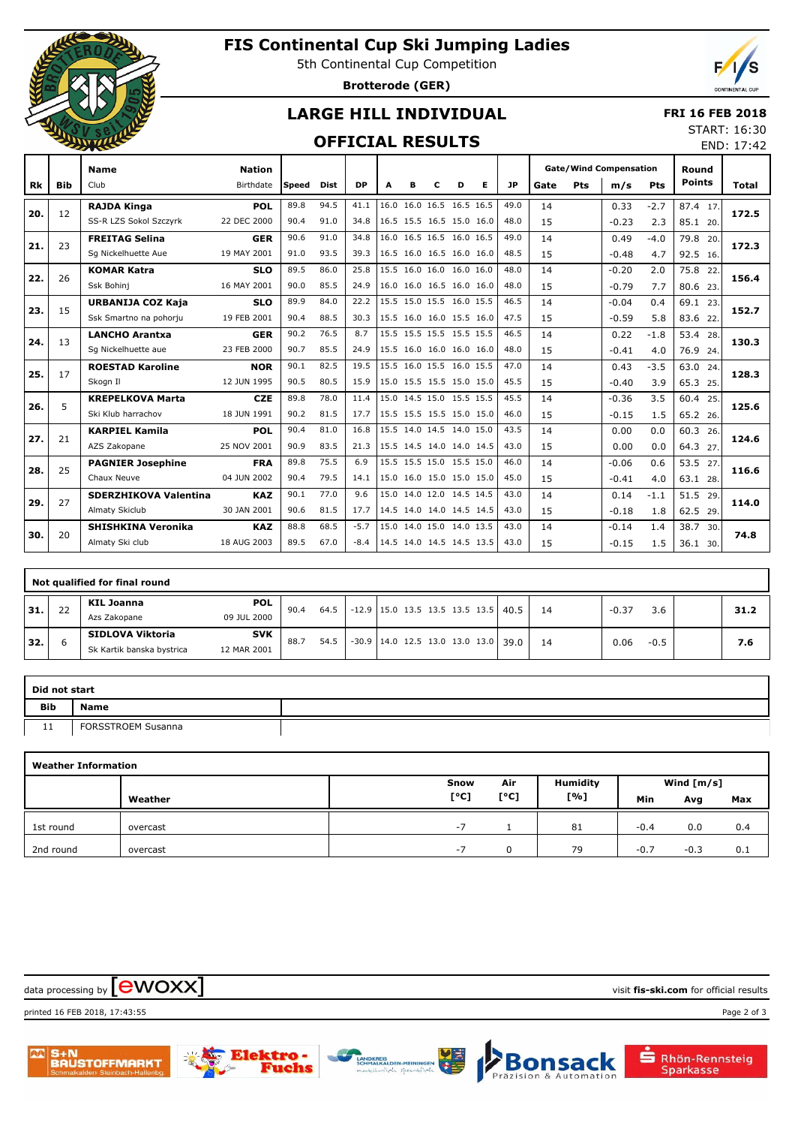

# **FIS Continental Cup Ski Jumping Ladies**

5th Continental Cup Competition

**Brotterode (GER)**



END: 17:42

## **LARGE HILL INDIVIDUAL**

#### **FRI 16 FEB 2018** START: 16:30

### **OFFICIAL RESULTS**

|     |            | <b>Name</b>                  | <b>Nation</b> |       |             |           |                          |                          |   |   |   |           |      |     | <b>Gate/Wind Compensation</b> |            | Round         |       |
|-----|------------|------------------------------|---------------|-------|-------------|-----------|--------------------------|--------------------------|---|---|---|-----------|------|-----|-------------------------------|------------|---------------|-------|
| Rk  | <b>Bib</b> | Club                         | Birthdate     | Speed | <b>Dist</b> | <b>DP</b> | A                        | в                        | C | D | Е | <b>JP</b> | Gate | Pts | m/s                           | <b>Pts</b> | <b>Points</b> | Total |
|     |            | <b>RAJDA Kinga</b>           | <b>POL</b>    | 89.8  | 94.5        | 41.1      |                          | 16.0 16.0 16.5 16.5 16.5 |   |   |   | 49.0      | 14   |     | 0.33                          | $-2.7$     | 87.4 17       |       |
| 20. | 12         | SS-R LZS Sokol Szczyrk       | 22 DEC 2000   | 90.4  | 91.0        | 34.8      |                          | 16.5 15.5 16.5 15.0 16.0 |   |   |   | 48.0      | 15   |     | $-0.23$                       | 2.3        | 85.1 20.      | 172.5 |
|     | 23         | <b>FREITAG Selina</b>        | <b>GER</b>    | 90.6  | 91.0        | 34.8      |                          | 16.0 16.5 16.5 16.0 16.5 |   |   |   | 49.0      | 14   |     | 0.49                          | $-4.0$     | 79.8<br>20.   |       |
| 21. |            | Sq Nickelhuette Aue          | 19 MAY 2001   | 91.0  | 93.5        | 39.3      |                          | 16.5 16.0 16.5 16.0 16.0 |   |   |   | 48.5      | 15   |     | $-0.48$                       | 4.7        | 92.5 16.      | 172.3 |
|     | 26         | <b>KOMAR Katra</b>           | <b>SLO</b>    | 89.5  | 86.0        | 25.8      |                          | 15.5 16.0 16.0 16.0 16.0 |   |   |   | 48.0      | 14   |     | $-0.20$                       | 2.0        | 75.8 22.      | 156.4 |
| 22. |            | Ssk Bohini                   | 16 MAY 2001   | 90.0  | 85.5        | 24.9      |                          | 16.0 16.0 16.5 16.0 16.0 |   |   |   | 48.0      | 15   |     | $-0.79$                       | 7.7        | 80.6 23.      |       |
| 23. | 15         | URBANIJA COZ Kaja            | <b>SLO</b>    | 89.9  | 84.0        | 22.2      |                          | 15.5 15.0 15.5 16.0 15.5 |   |   |   | 46.5      | 14   |     | $-0.04$                       | 0.4        | 69.1 23.      | 152.7 |
|     |            | Ssk Smartno na pohorju       | 19 FEB 2001   | 90.4  | 88.5        | 30.3      |                          | 15.5 16.0 16.0 15.5 16.0 |   |   |   | 47.5      | 15   |     | $-0.59$                       | 5.8        | 83.6 22.      |       |
| 24. | 13         | <b>LANCHO Arantxa</b>        | <b>GER</b>    | 90.2  | 76.5        | 8.7       |                          | 15.5 15.5 15.5 15.5 15.5 |   |   |   | 46.5      | 14   |     | 0.22                          | $-1.8$     | 53.4 28.      | 130.3 |
|     |            | Sq Nickelhuette aue          | 23 FEB 2000   | 90.7  | 85.5        | 24.9      | 15.5 16.0 16.0 16.0 16.0 |                          |   |   |   | 48.0      | 15   |     | $-0.41$                       | 4.0        | 76.9 24.      |       |
| 25. | 17         | <b>ROESTAD Karoline</b>      | <b>NOR</b>    | 90.1  | 82.5        | 19.5      |                          | 15.5 16.0 15.5 16.0 15.5 |   |   |   | 47.0      | 14   |     | 0.43                          | $-3.5$     | 63.0 24.      | 128.3 |
|     |            | Skogn II                     | 12 JUN 1995   | 90.5  | 80.5        | 15.9      | 15.0 15.5 15.5 15.0 15.0 |                          |   |   |   | 45.5      | 15   |     | $-0.40$                       | 3.9        | 65.3 25.      |       |
| 26. | 5          | <b>KREPELKOVA Marta</b>      | <b>CZE</b>    | 89.8  | 78.0        | 11.4      |                          | 15.0 14.5 15.0 15.5 15.5 |   |   |   | 45.5      | 14   |     | $-0.36$                       | 3.5        | 60.4 25.      | 125.6 |
|     |            | Ski Klub harrachov           | 18 JUN 1991   | 90.2  | 81.5        | 17.7      | 15.5 15.5 15.5 15.0 15.0 |                          |   |   |   | 46.0      | 15   |     | $-0.15$                       | 1.5        | 65.2 26.      |       |
| 27. | 21         | <b>KARPIEL Kamila</b>        | <b>POL</b>    | 90.4  | 81.0        | 16.8      |                          | 15.5 14.0 14.5 14.0 15.0 |   |   |   | 43.5      | 14   |     | 0.00                          | 0.0        | 60.3 26.      | 124.6 |
|     |            | AZS Zakopane                 | 25 NOV 2001   | 90.9  | 83.5        | 21.3      | 15.5 14.5 14.0 14.0 14.5 |                          |   |   |   | 43.0      | 15   |     | 0.00                          | 0.0        | 64.3 27.      |       |
| 28. | 25         | <b>PAGNIER Josephine</b>     | <b>FRA</b>    | 89.8  | 75.5        | 6.9       |                          | 15.5 15.5 15.0 15.5 15.0 |   |   |   | 46.0      | 14   |     | $-0.06$                       | 0.6        | 53.5 27.      | 116.6 |
|     |            | Chaux Neuve                  | 04 JUN 2002   | 90.4  | 79.5        | 14.1      |                          | 15.0 16.0 15.0 15.0 15.0 |   |   |   | 45.0      | 15   |     | $-0.41$                       | 4.0        | 63.1 28.      |       |
| 29. | 27         | <b>SDERZHIKOVA Valentina</b> | <b>KAZ</b>    | 90.1  | 77.0        | 9.6       |                          | 15.0 14.0 12.0 14.5 14.5 |   |   |   | 43.0      | 14   |     | 0.14                          | $-1.1$     | 51.5<br>29.   | 114.0 |
|     |            | Almaty Skiclub               | 30 JAN 2001   | 90.6  | 81.5        | 17.7      |                          | 14.5 14.0 14.0 14.5 14.5 |   |   |   | 43.0      | 15   |     | $-0.18$                       | 1.8        | 62.5 29.      |       |
| 30. | 20         | <b>SHISHKINA Veronika</b>    | <b>KAZ</b>    | 88.8  | 68.5        | $-5.7$    |                          | 15.0 14.0 15.0 14.0 13.5 |   |   |   | 43.0      | 14   |     | $-0.14$                       | 1.4        | 38.7 30.      | 74.8  |
|     |            | Almaty Ski club              | 18 AUG 2003   | 89.5  | 67.0        | $-8.4$    |                          | 14.5 14.0 14.5 14.5 13.5 |   |   |   | 43.0      | 15   |     | $-0.15$                       | 1.5        | 36.1 30.      |       |

|       | Not qualified for final round |                           |             |      |      |                                           |  |  |  |  |  |                                           |    |         |        |      |
|-------|-------------------------------|---------------------------|-------------|------|------|-------------------------------------------|--|--|--|--|--|-------------------------------------------|----|---------|--------|------|
| 31.   | 22                            | KIL Joanna                | <b>POL</b>  | 90.4 | 64.5 |                                           |  |  |  |  |  | $-12.9$   15.0 13.5 13.5 13.5 13.5   40.5 | 14 | $-0.37$ | 3.6    | 31.2 |
|       |                               | Azs Zakopane              | 09 JUL 2000 |      |      |                                           |  |  |  |  |  |                                           |    |         |        |      |
| ' 32. |                               | SIDLOVA Viktoria          | <b>SVK</b>  | 88.7 | 54.5 | $-30.9$   14.0 12.5 13.0 13.0 13.0   39.0 |  |  |  |  |  |                                           | 14 | 0.06    | $-0.5$ | 7.6  |
|       |                               | Sk Kartik banska bystrica | 12 MAR 2001 |      |      |                                           |  |  |  |  |  |                                           |    |         |        |      |

| Did not start     |                    |  |
|-------------------|--------------------|--|
| <b>Bib</b>        | Name               |  |
| . .<br><b>. .</b> | FORSSTROEM Susanna |  |

|           | <b>Weather Information</b> |      |      |                 |        |              |     |  |  |  |  |  |  |  |  |
|-----------|----------------------------|------|------|-----------------|--------|--------------|-----|--|--|--|--|--|--|--|--|
|           |                            | Snow | Air  | <b>Humidity</b> |        | Wind $[m/s]$ |     |  |  |  |  |  |  |  |  |
|           | Weather                    | [°C] | [°C] | [%]             | Min    | Avg          | Max |  |  |  |  |  |  |  |  |
| 1st round | overcast                   | $-7$ |      | 81              | $-0.4$ | 0.0          | 0.4 |  |  |  |  |  |  |  |  |
| 2nd round | overcast                   | $-7$ | u    | 79              | $-0.7$ | $-0.3$       | 0.1 |  |  |  |  |  |  |  |  |

 $\frac{1}{2}$  data processing by  $\boxed{\text{ewOX}}$ 

printed 16 FEB 2018, 17:43:55 Page 2 of 3





Bor